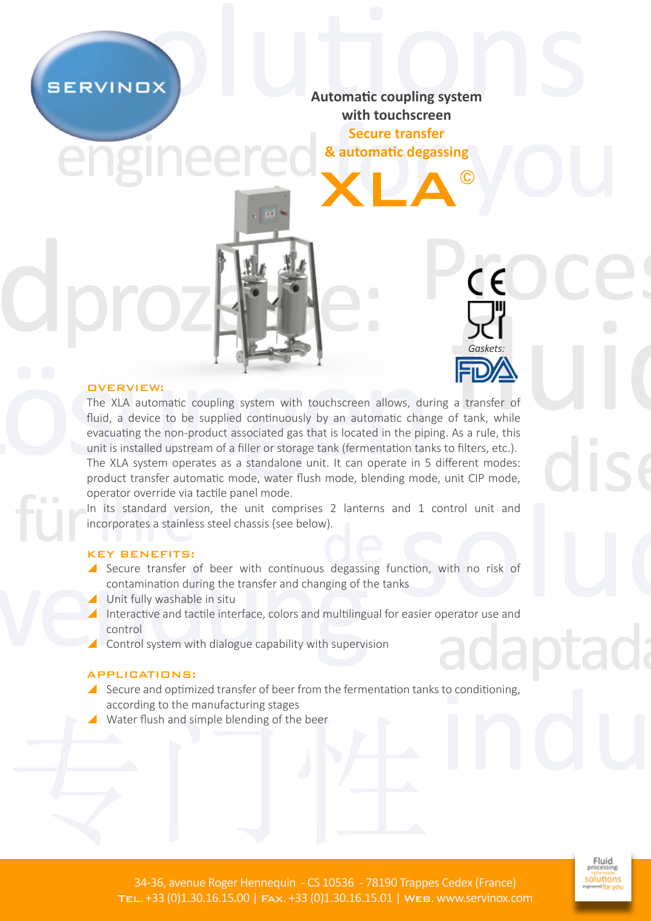**SERVINOX** 

**Automatic coupling system with touchscreen Secure transfer**

XLA© **& automatic degassing**

*Gaskets:*

C F

# OVERVIEW:

The XLA automatic coupling system with touchscreen allows, during a transfer of fluid, a device to be supplied continuously by an automatic change of tank, while evacuating the non-product associated gas that is located in the piping. As a rule, this unit is installed upstream of a filler or storage tank (fermentation tanks to filters, etc.). The XLA system operates as a standalone unit. It can operate in 5 different modes: product transfer automatic mode, water flush mode, blending mode, unit CIP mode, operator override via tactile panel mode.

In its standard version, the unit comprises 2 lanterns and 1 control unit and incorporates a stainless steel chassis (see below)*.*

### KEY BENEFITS:

- Secure transfer of beer with continuous degassing function, with no risk of contamination during the transfer and changing of the tanks
- Unit fully washable in situ
- Interactive and tactile interface, colors and multilingual for easier operator use and control
- $\triangle$  Control system with dialogue capability with supervision

### APPLICATIONS:

- Secure and optimized transfer of beer from the fermentation tanks to conditioning, according to the manufacturing stages
- Water flush and simple blending of the beer

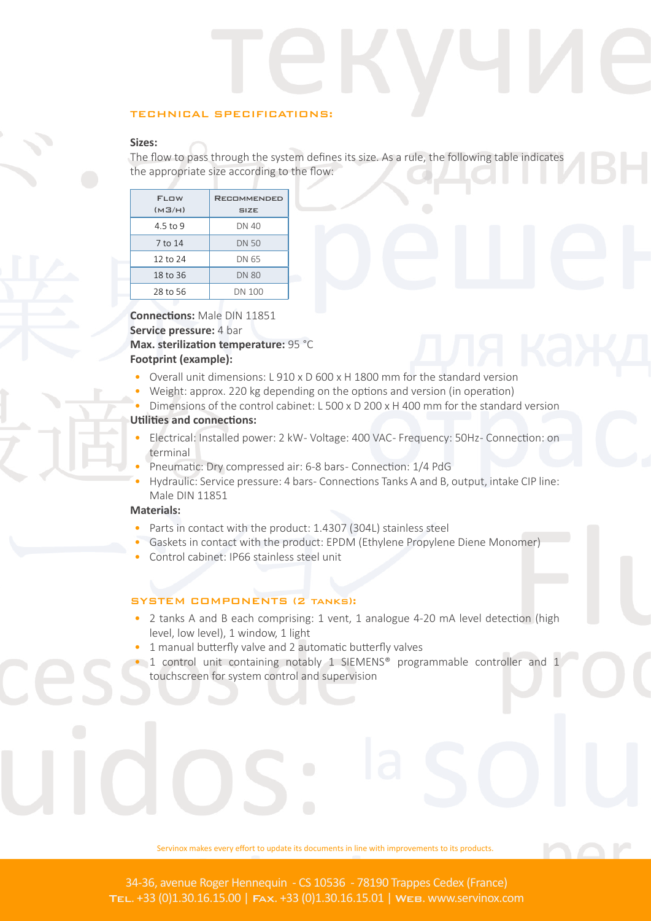### TECHNICAL SPECIFICATIONS:

# **Sizes:**

The flow to pass through the system defines its size. As a rule, the following table indicates the appropriate size according to the flow:

| <b>FLOW</b><br>(M3/H) | <b>RECOMMENDED</b><br><b>SIZE</b> |
|-----------------------|-----------------------------------|
| 4.5 to 9              | DN 40                             |
| 7 to 14               | DN 50                             |
| 12 to 24              | DN 65                             |
| 18 to 36              | <b>DN 80</b>                      |
| 28 to 56              | DN 100                            |

**Connections:** Male DIN 11851 **Service pressure: 4 bar Max. sterilization temperature:** 95 °C **Footprint (example):** 

- Overall unit dimensions: L 910 x D 600 x H 1800 mm for the standard version
- Weight: approx. 220 kg depending on the options and version (in operation)
- Dimensions of the control cabinet: L 500 x D 200 x H 400 mm for the standard version

# **Utilities and connections:**

- Electrical: Installed power: 2 kW - Voltage: 400 VAC - Frequency: 50Hz - Connection: on terminal
- Pneumatic: Dry compressed air: 6-8 bars- Connection: 1/4 PdG
- Hydraulic: Service pressure: 4 bars- Connections Tanks A and B, output, intake CIP line: Male DIN 11851

# **Materials:**

- Parts in contact with the product: 1.4307 (304L) stainless steel
- Gaskets in contact with the product: EPDM (Ethylene Propylene Diene Monomer)
- Control cabinet: IP66 stainless steel unit

### SYSTEM COMPONENTS (2 tanks):

- 2 tanks A and B each comprising: 1 vent, 1 analogue 4-20 mA level detection (high level, low level), 1 window, 1 light
- 1 manual butterfly valve and 2 automatic butterfly valves
- 1 control unit containing notably 1 SIEMENS® programmable controller and 1 touchscreen for system control and supervision

Servinox makes every effort to update its documents in line with improvements to its products.

34-36, avenue Roger Hennequin - CS 10536 - 78190 Trappes Cedex (France) Tel. +33 (0)1.30.16.15.00 | Fax. +33 (0)1.30.16.15.01 | Web. www.servinox.com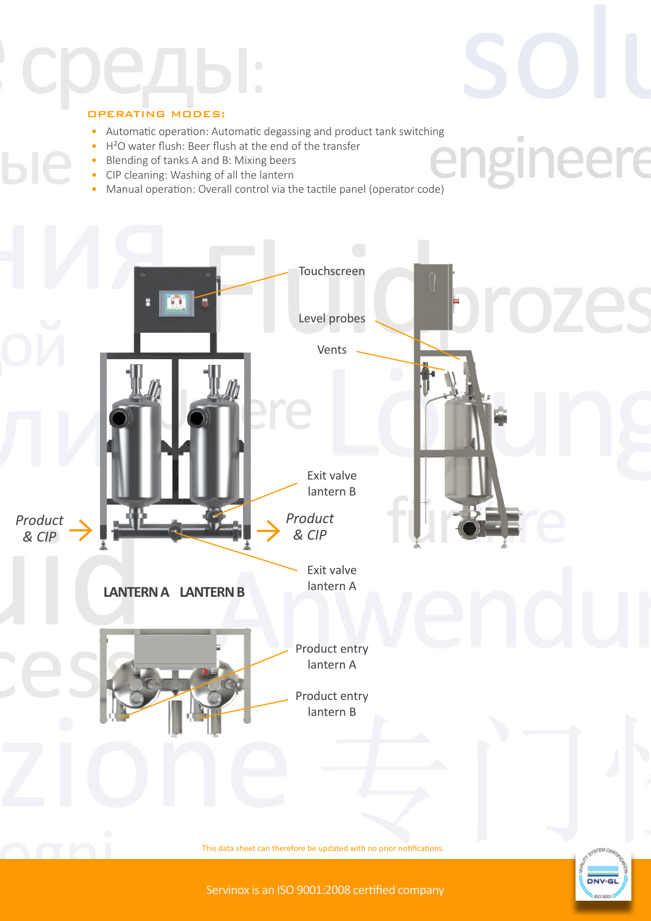# OPERATING MODES:

• Automatic operation: Automatic degassing and product tank switching

 $\circledcirc$ 

eere

- H²O water flush: Beer flush at the end of the transfer
- Blending of tanks A and B: Mixing beers
- CIP cleaning: Washing of all the lantern
- Manual operation: Overall control via the tactile panel (operator code)



Servinox is an ISO 9001:2008 certified company